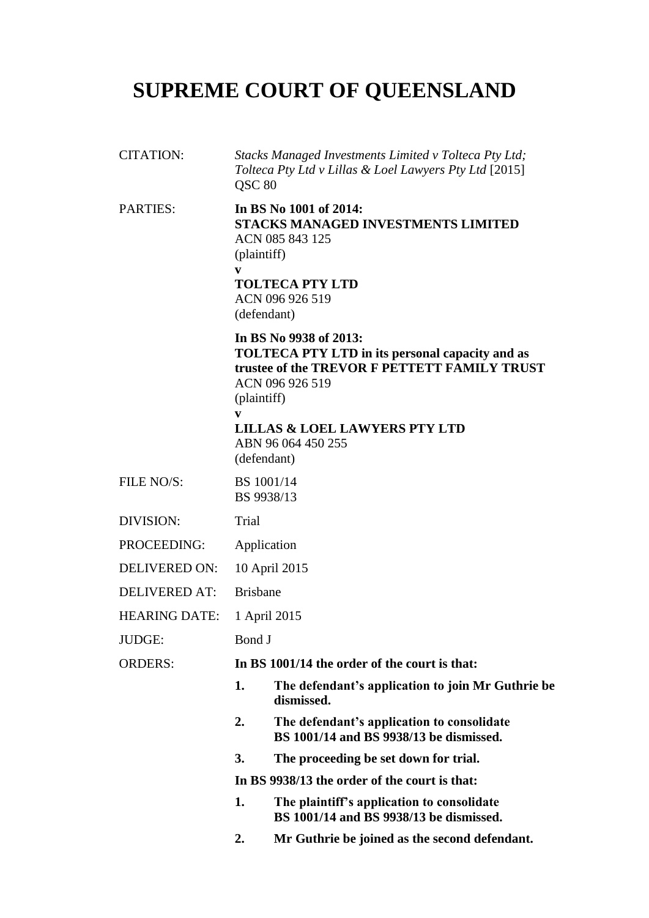# **SUPREME COURT OF QUEENSLAND**

| <b>CITATION:</b>     | Stacks Managed Investments Limited v Tolteca Pty Ltd;<br>Tolteca Pty Ltd v Lillas & Loel Lawyers Pty Ltd [2015]<br>QSC 80                                              |                                                                                                                                                                                                                               |
|----------------------|------------------------------------------------------------------------------------------------------------------------------------------------------------------------|-------------------------------------------------------------------------------------------------------------------------------------------------------------------------------------------------------------------------------|
| <b>PARTIES:</b>      | In BS No 1001 of 2014:<br><b>STACKS MANAGED INVESTMENTS LIMITED</b><br>ACN 085 843 125<br>(plaintiff)<br>V<br><b>TOLTECA PTY LTD</b><br>ACN 096 926 519<br>(defendant) |                                                                                                                                                                                                                               |
|                      | (plaintiff)<br>V                                                                                                                                                       | In BS No 9938 of 2013:<br>TOLTECA PTY LTD in its personal capacity and as<br>trustee of the TREVOR F PETTETT FAMILY TRUST<br>ACN 096 926 519<br><b>LILLAS &amp; LOEL LAWYERS PTY LTD</b><br>ABN 96 064 450 255<br>(defendant) |
| FILE NO/S:           | BS 1001/14<br>BS 9938/13                                                                                                                                               |                                                                                                                                                                                                                               |
| <b>DIVISION:</b>     | Trial                                                                                                                                                                  |                                                                                                                                                                                                                               |
| PROCEEDING:          | Application                                                                                                                                                            |                                                                                                                                                                                                                               |
| <b>DELIVERED ON:</b> | 10 April 2015                                                                                                                                                          |                                                                                                                                                                                                                               |
| <b>DELIVERED AT:</b> | <b>Brisbane</b>                                                                                                                                                        |                                                                                                                                                                                                                               |
| <b>HEARING DATE:</b> | 1 April 2015                                                                                                                                                           |                                                                                                                                                                                                                               |
| JUDGE:               | Bond J                                                                                                                                                                 |                                                                                                                                                                                                                               |
| <b>ORDERS:</b>       | In BS 1001/14 the order of the court is that:                                                                                                                          |                                                                                                                                                                                                                               |
|                      | 1.                                                                                                                                                                     | The defendant's application to join Mr Guthrie be<br>dismissed.                                                                                                                                                               |
|                      | 2.                                                                                                                                                                     | The defendant's application to consolidate<br>BS 1001/14 and BS 9938/13 be dismissed.                                                                                                                                         |
|                      | 3.                                                                                                                                                                     | The proceeding be set down for trial.                                                                                                                                                                                         |
|                      | In BS 9938/13 the order of the court is that:                                                                                                                          |                                                                                                                                                                                                                               |
|                      | 1.                                                                                                                                                                     | The plaintiff's application to consolidate<br>BS 1001/14 and BS 9938/13 be dismissed.                                                                                                                                         |
|                      | 2.                                                                                                                                                                     | Mr Guthrie be joined as the second defendant.                                                                                                                                                                                 |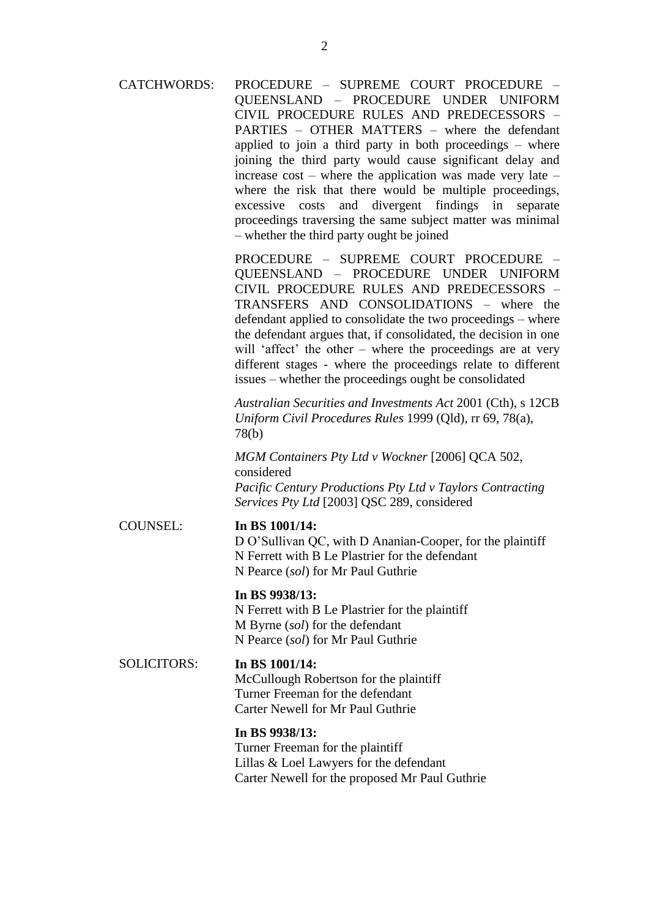CATCHWORDS: PROCEDURE – SUPREME COURT PROCEDURE – QUEENSLAND – PROCEDURE UNDER UNIFORM CIVIL PROCEDURE RULES AND PREDECESSORS – PARTIES – OTHER MATTERS – where the defendant applied to join a third party in both proceedings – where joining the third party would cause significant delay and increase  $cost$  – where the application was made very late – where the risk that there would be multiple proceedings, excessive costs and divergent findings in separate proceedings traversing the same subject matter was minimal – whether the third party ought be joined

> PROCEDURE – SUPREME COURT PROCEDURE – QUEENSLAND – PROCEDURE UNDER UNIFORM CIVIL PROCEDURE RULES AND PREDECESSORS – TRANSFERS AND CONSOLIDATIONS – where the defendant applied to consolidate the two proceedings – where the defendant argues that, if consolidated, the decision in one will 'affect' the other – where the proceedings are at very different stages - where the proceedings relate to different issues – whether the proceedings ought be consolidated

> *Australian Securities and Investments Act* 2001 (Cth), s 12CB *Uniform Civil Procedures Rules* 1999 (Qld), rr 69, 78(a), 78(b)

*MGM Containers Pty Ltd v Wockner* [2006] QCA 502, considered *Pacific Century Productions Pty Ltd v Taylors Contracting Services Pty Ltd* [2003] QSC 289, considered

#### COUNSEL: **In BS 1001/14:**

D O'Sullivan QC, with D Ananian-Cooper, for the plaintiff N Ferrett with B Le Plastrier for the defendant N Pearce (*sol*) for Mr Paul Guthrie

## **In BS 9938/13:**

N Ferrett with B Le Plastrier for the plaintiff M Byrne (*sol*) for the defendant N Pearce (*sol*) for Mr Paul Guthrie

#### SOLICITORS: **In BS 1001/14:**

McCullough Robertson for the plaintiff Turner Freeman for the defendant Carter Newell for Mr Paul Guthrie

## **In BS 9938/13:**

Turner Freeman for the plaintiff Lillas & Loel Lawyers for the defendant Carter Newell for the proposed Mr Paul Guthrie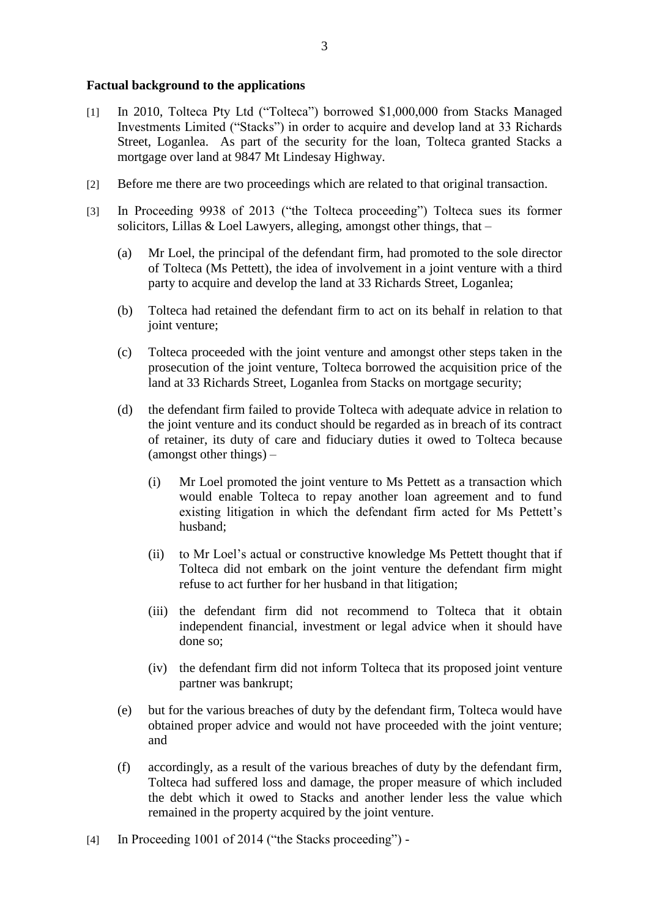#### **Factual background to the applications**

- [1] In 2010, Tolteca Pty Ltd ("Tolteca") borrowed \$1,000,000 from Stacks Managed Investments Limited ("Stacks") in order to acquire and develop land at 33 Richards Street, Loganlea. As part of the security for the loan, Tolteca granted Stacks a mortgage over land at 9847 Mt Lindesay Highway.
- [2] Before me there are two proceedings which are related to that original transaction.
- [3] In Proceeding 9938 of 2013 ("the Tolteca proceeding") Tolteca sues its former solicitors, Lillas & Loel Lawyers, alleging, amongst other things, that  $-$ 
	- (a) Mr Loel, the principal of the defendant firm, had promoted to the sole director of Tolteca (Ms Pettett), the idea of involvement in a joint venture with a third party to acquire and develop the land at 33 Richards Street, Loganlea;
	- (b) Tolteca had retained the defendant firm to act on its behalf in relation to that joint venture:
	- (c) Tolteca proceeded with the joint venture and amongst other steps taken in the prosecution of the joint venture, Tolteca borrowed the acquisition price of the land at 33 Richards Street, Loganlea from Stacks on mortgage security;
	- (d) the defendant firm failed to provide Tolteca with adequate advice in relation to the joint venture and its conduct should be regarded as in breach of its contract of retainer, its duty of care and fiduciary duties it owed to Tolteca because (amongst other things) –
		- (i) Mr Loel promoted the joint venture to Ms Pettett as a transaction which would enable Tolteca to repay another loan agreement and to fund existing litigation in which the defendant firm acted for Ms Pettett's husband;
		- (ii) to Mr Loel's actual or constructive knowledge Ms Pettett thought that if Tolteca did not embark on the joint venture the defendant firm might refuse to act further for her husband in that litigation;
		- (iii) the defendant firm did not recommend to Tolteca that it obtain independent financial, investment or legal advice when it should have done so;
		- (iv) the defendant firm did not inform Tolteca that its proposed joint venture partner was bankrupt;
	- (e) but for the various breaches of duty by the defendant firm, Tolteca would have obtained proper advice and would not have proceeded with the joint venture; and
	- (f) accordingly, as a result of the various breaches of duty by the defendant firm, Tolteca had suffered loss and damage, the proper measure of which included the debt which it owed to Stacks and another lender less the value which remained in the property acquired by the joint venture.
- [4] In Proceeding 1001 of 2014 ("the Stacks proceeding") -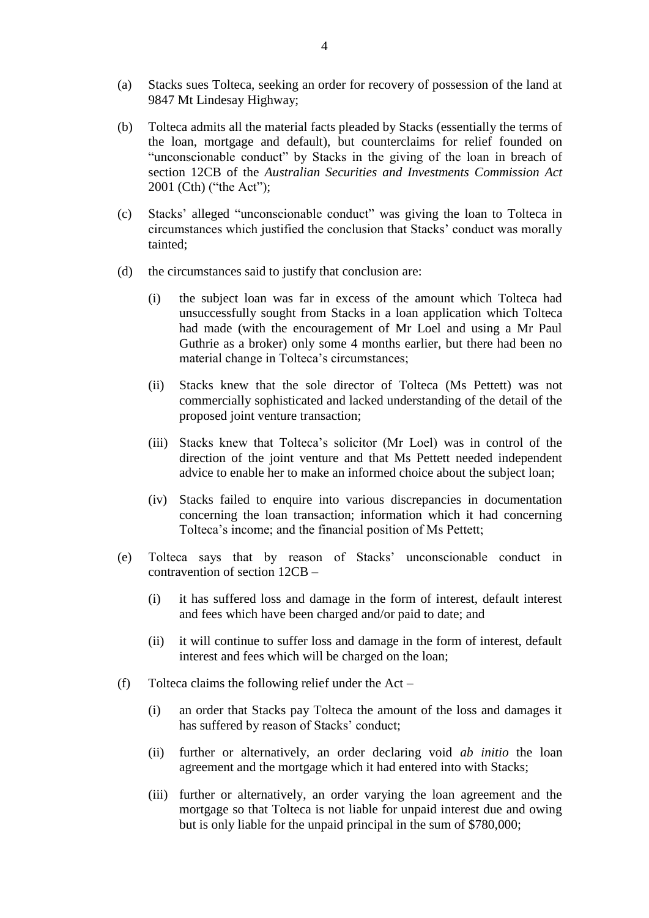- (a) Stacks sues Tolteca, seeking an order for recovery of possession of the land at 9847 Mt Lindesay Highway;
- (b) Tolteca admits all the material facts pleaded by Stacks (essentially the terms of the loan, mortgage and default), but counterclaims for relief founded on "unconscionable conduct" by Stacks in the giving of the loan in breach of section 12CB of the *Australian Securities and Investments Commission Act*  2001 (Cth) ("the Act");
- (c) Stacks' alleged "unconscionable conduct" was giving the loan to Tolteca in circumstances which justified the conclusion that Stacks' conduct was morally tainted;
- (d) the circumstances said to justify that conclusion are:
	- (i) the subject loan was far in excess of the amount which Tolteca had unsuccessfully sought from Stacks in a loan application which Tolteca had made (with the encouragement of Mr Loel and using a Mr Paul Guthrie as a broker) only some 4 months earlier, but there had been no material change in Tolteca's circumstances;
	- (ii) Stacks knew that the sole director of Tolteca (Ms Pettett) was not commercially sophisticated and lacked understanding of the detail of the proposed joint venture transaction;
	- (iii) Stacks knew that Tolteca's solicitor (Mr Loel) was in control of the direction of the joint venture and that Ms Pettett needed independent advice to enable her to make an informed choice about the subject loan;
	- (iv) Stacks failed to enquire into various discrepancies in documentation concerning the loan transaction; information which it had concerning Tolteca's income; and the financial position of Ms Pettett;
- (e) Tolteca says that by reason of Stacks' unconscionable conduct in contravention of section 12CB –
	- (i) it has suffered loss and damage in the form of interest, default interest and fees which have been charged and/or paid to date; and
	- (ii) it will continue to suffer loss and damage in the form of interest, default interest and fees which will be charged on the loan;
- (f) Tolteca claims the following relief under the Act
	- (i) an order that Stacks pay Tolteca the amount of the loss and damages it has suffered by reason of Stacks' conduct;
	- (ii) further or alternatively, an order declaring void *ab initio* the loan agreement and the mortgage which it had entered into with Stacks;
	- (iii) further or alternatively, an order varying the loan agreement and the mortgage so that Tolteca is not liable for unpaid interest due and owing but is only liable for the unpaid principal in the sum of \$780,000;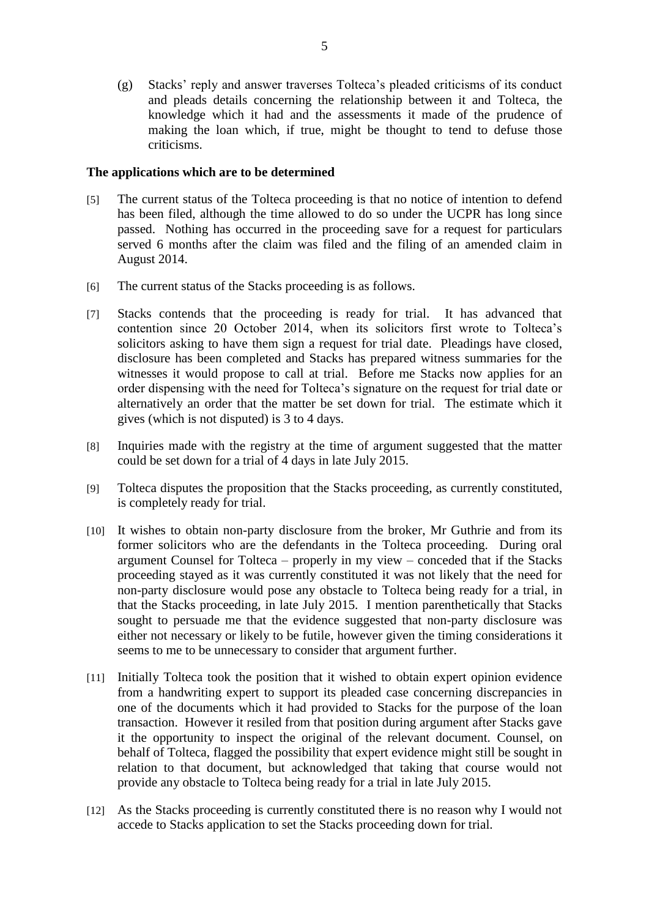(g) Stacks' reply and answer traverses Tolteca's pleaded criticisms of its conduct and pleads details concerning the relationship between it and Tolteca, the knowledge which it had and the assessments it made of the prudence of making the loan which, if true, might be thought to tend to defuse those criticisms.

#### **The applications which are to be determined**

- [5] The current status of the Tolteca proceeding is that no notice of intention to defend has been filed, although the time allowed to do so under the UCPR has long since passed. Nothing has occurred in the proceeding save for a request for particulars served 6 months after the claim was filed and the filing of an amended claim in August 2014.
- [6] The current status of the Stacks proceeding is as follows.
- [7] Stacks contends that the proceeding is ready for trial. It has advanced that contention since 20 October 2014, when its solicitors first wrote to Tolteca's solicitors asking to have them sign a request for trial date. Pleadings have closed, disclosure has been completed and Stacks has prepared witness summaries for the witnesses it would propose to call at trial. Before me Stacks now applies for an order dispensing with the need for Tolteca's signature on the request for trial date or alternatively an order that the matter be set down for trial. The estimate which it gives (which is not disputed) is 3 to 4 days.
- [8] Inquiries made with the registry at the time of argument suggested that the matter could be set down for a trial of 4 days in late July 2015.
- [9] Tolteca disputes the proposition that the Stacks proceeding, as currently constituted, is completely ready for trial.
- [10] It wishes to obtain non-party disclosure from the broker, Mr Guthrie and from its former solicitors who are the defendants in the Tolteca proceeding. During oral argument Counsel for Tolteca – properly in my view – conceded that if the Stacks proceeding stayed as it was currently constituted it was not likely that the need for non-party disclosure would pose any obstacle to Tolteca being ready for a trial, in that the Stacks proceeding, in late July 2015. I mention parenthetically that Stacks sought to persuade me that the evidence suggested that non-party disclosure was either not necessary or likely to be futile, however given the timing considerations it seems to me to be unnecessary to consider that argument further.
- [11] Initially Tolteca took the position that it wished to obtain expert opinion evidence from a handwriting expert to support its pleaded case concerning discrepancies in one of the documents which it had provided to Stacks for the purpose of the loan transaction. However it resiled from that position during argument after Stacks gave it the opportunity to inspect the original of the relevant document. Counsel, on behalf of Tolteca, flagged the possibility that expert evidence might still be sought in relation to that document, but acknowledged that taking that course would not provide any obstacle to Tolteca being ready for a trial in late July 2015.
- [12] As the Stacks proceeding is currently constituted there is no reason why I would not accede to Stacks application to set the Stacks proceeding down for trial.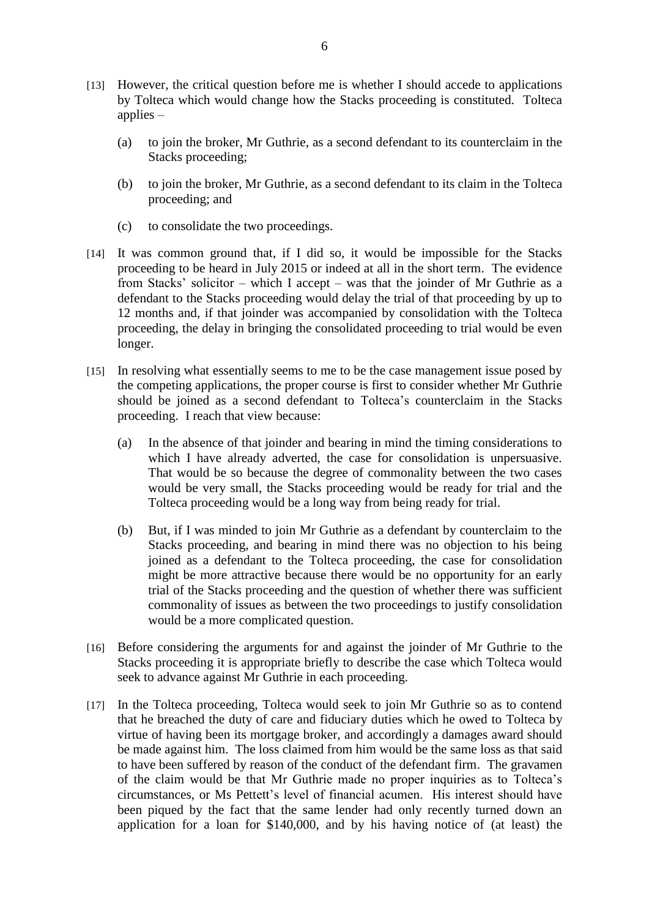- [13] However, the critical question before me is whether I should accede to applications by Tolteca which would change how the Stacks proceeding is constituted. Tolteca applies –
	- (a) to join the broker, Mr Guthrie, as a second defendant to its counterclaim in the Stacks proceeding;
	- (b) to join the broker, Mr Guthrie, as a second defendant to its claim in the Tolteca proceeding; and
	- (c) to consolidate the two proceedings.
- [14] It was common ground that, if I did so, it would be impossible for the Stacks proceeding to be heard in July 2015 or indeed at all in the short term. The evidence from Stacks' solicitor – which I accept – was that the joinder of Mr Guthrie as a defendant to the Stacks proceeding would delay the trial of that proceeding by up to 12 months and, if that joinder was accompanied by consolidation with the Tolteca proceeding, the delay in bringing the consolidated proceeding to trial would be even longer.
- [15] In resolving what essentially seems to me to be the case management issue posed by the competing applications, the proper course is first to consider whether Mr Guthrie should be joined as a second defendant to Tolteca's counterclaim in the Stacks proceeding. I reach that view because:
	- (a) In the absence of that joinder and bearing in mind the timing considerations to which I have already adverted, the case for consolidation is unpersuasive. That would be so because the degree of commonality between the two cases would be very small, the Stacks proceeding would be ready for trial and the Tolteca proceeding would be a long way from being ready for trial.
	- (b) But, if I was minded to join Mr Guthrie as a defendant by counterclaim to the Stacks proceeding, and bearing in mind there was no objection to his being joined as a defendant to the Tolteca proceeding, the case for consolidation might be more attractive because there would be no opportunity for an early trial of the Stacks proceeding and the question of whether there was sufficient commonality of issues as between the two proceedings to justify consolidation would be a more complicated question.
- [16] Before considering the arguments for and against the joinder of Mr Guthrie to the Stacks proceeding it is appropriate briefly to describe the case which Tolteca would seek to advance against Mr Guthrie in each proceeding.
- [17] In the Tolteca proceeding, Tolteca would seek to join Mr Guthrie so as to contend that he breached the duty of care and fiduciary duties which he owed to Tolteca by virtue of having been its mortgage broker, and accordingly a damages award should be made against him. The loss claimed from him would be the same loss as that said to have been suffered by reason of the conduct of the defendant firm. The gravamen of the claim would be that Mr Guthrie made no proper inquiries as to Tolteca's circumstances, or Ms Pettett's level of financial acumen. His interest should have been piqued by the fact that the same lender had only recently turned down an application for a loan for \$140,000, and by his having notice of (at least) the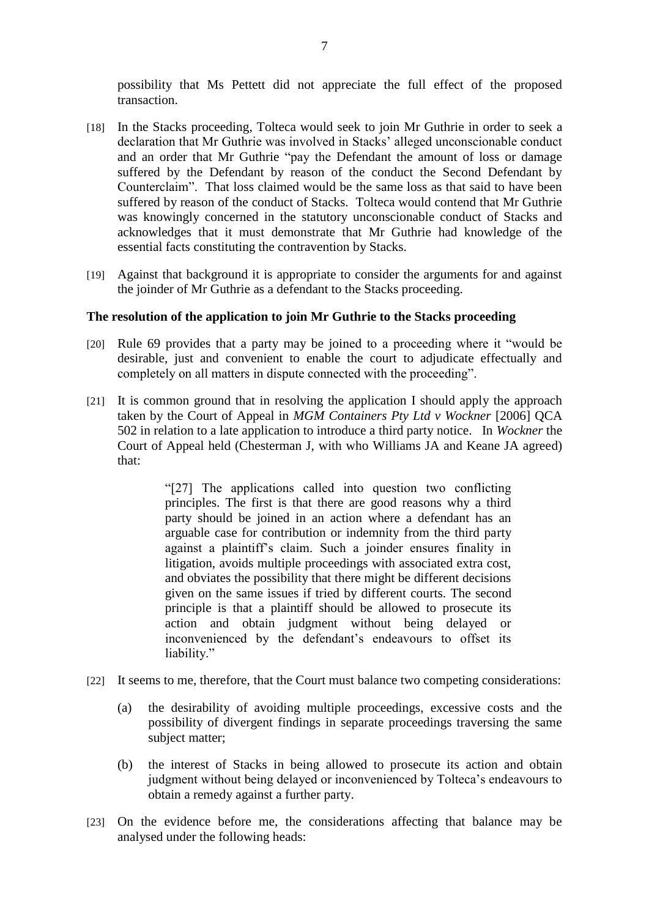possibility that Ms Pettett did not appreciate the full effect of the proposed transaction.

- [18] In the Stacks proceeding, Tolteca would seek to join Mr Guthrie in order to seek a declaration that Mr Guthrie was involved in Stacks' alleged unconscionable conduct and an order that Mr Guthrie "pay the Defendant the amount of loss or damage suffered by the Defendant by reason of the conduct the Second Defendant by Counterclaim". That loss claimed would be the same loss as that said to have been suffered by reason of the conduct of Stacks. Tolteca would contend that Mr Guthrie was knowingly concerned in the statutory unconscionable conduct of Stacks and acknowledges that it must demonstrate that Mr Guthrie had knowledge of the essential facts constituting the contravention by Stacks.
- [19] Against that background it is appropriate to consider the arguments for and against the joinder of Mr Guthrie as a defendant to the Stacks proceeding.

## **The resolution of the application to join Mr Guthrie to the Stacks proceeding**

- [20] Rule 69 provides that a party may be joined to a proceeding where it "would be desirable, just and convenient to enable the court to adjudicate effectually and completely on all matters in dispute connected with the proceeding".
- [21] It is common ground that in resolving the application I should apply the approach taken by the Court of Appeal in *MGM Containers Pty Ltd v Wockner* [2006] QCA 502 in relation to a late application to introduce a third party notice. In *Wockner* the Court of Appeal held (Chesterman J, with who Williams JA and Keane JA agreed) that:

"[27] The applications called into question two conflicting principles. The first is that there are good reasons why a third party should be joined in an action where a defendant has an arguable case for contribution or indemnity from the third party against a plaintiff's claim. Such a joinder ensures finality in litigation, avoids multiple proceedings with associated extra cost, and obviates the possibility that there might be different decisions given on the same issues if tried by different courts. The second principle is that a plaintiff should be allowed to prosecute its action and obtain judgment without being delayed or inconvenienced by the defendant's endeavours to offset its liability."

- [22] It seems to me, therefore, that the Court must balance two competing considerations:
	- (a) the desirability of avoiding multiple proceedings, excessive costs and the possibility of divergent findings in separate proceedings traversing the same subject matter;
	- (b) the interest of Stacks in being allowed to prosecute its action and obtain judgment without being delayed or inconvenienced by Tolteca's endeavours to obtain a remedy against a further party.
- [23] On the evidence before me, the considerations affecting that balance may be analysed under the following heads: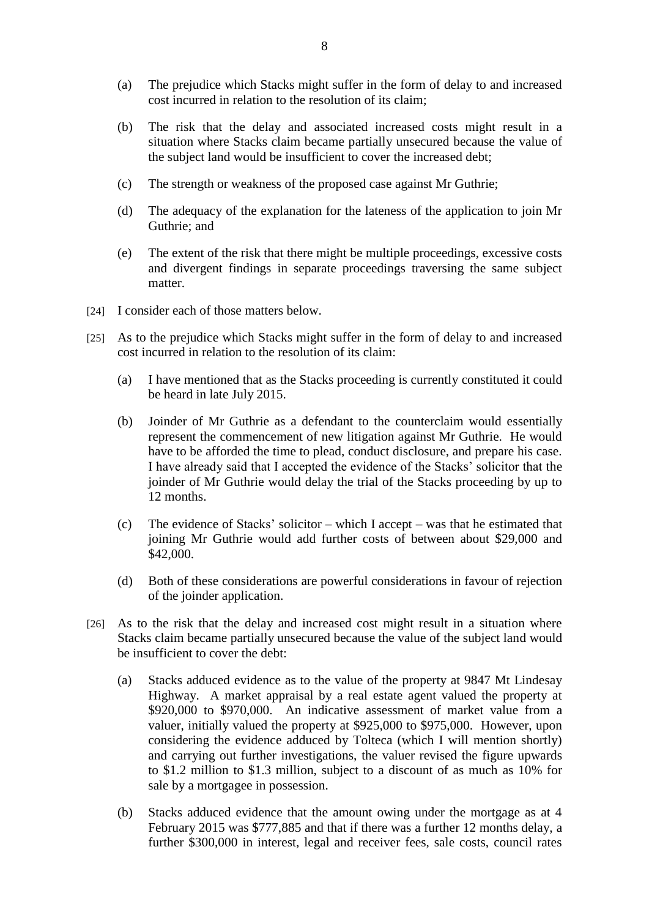- (a) The prejudice which Stacks might suffer in the form of delay to and increased cost incurred in relation to the resolution of its claim;
- (b) The risk that the delay and associated increased costs might result in a situation where Stacks claim became partially unsecured because the value of the subject land would be insufficient to cover the increased debt;
- (c) The strength or weakness of the proposed case against Mr Guthrie;
- (d) The adequacy of the explanation for the lateness of the application to join Mr Guthrie; and
- (e) The extent of the risk that there might be multiple proceedings, excessive costs and divergent findings in separate proceedings traversing the same subject matter.
- [24] I consider each of those matters below.
- [25] As to the prejudice which Stacks might suffer in the form of delay to and increased cost incurred in relation to the resolution of its claim:
	- (a) I have mentioned that as the Stacks proceeding is currently constituted it could be heard in late July 2015.
	- (b) Joinder of Mr Guthrie as a defendant to the counterclaim would essentially represent the commencement of new litigation against Mr Guthrie. He would have to be afforded the time to plead, conduct disclosure, and prepare his case. I have already said that I accepted the evidence of the Stacks' solicitor that the joinder of Mr Guthrie would delay the trial of the Stacks proceeding by up to 12 months.
	- (c) The evidence of Stacks' solicitor which I accept was that he estimated that joining Mr Guthrie would add further costs of between about \$29,000 and \$42,000.
	- (d) Both of these considerations are powerful considerations in favour of rejection of the joinder application.
- [26] As to the risk that the delay and increased cost might result in a situation where Stacks claim became partially unsecured because the value of the subject land would be insufficient to cover the debt:
	- (a) Stacks adduced evidence as to the value of the property at 9847 Mt Lindesay Highway. A market appraisal by a real estate agent valued the property at \$920,000 to \$970,000. An indicative assessment of market value from a valuer, initially valued the property at \$925,000 to \$975,000. However, upon considering the evidence adduced by Tolteca (which I will mention shortly) and carrying out further investigations, the valuer revised the figure upwards to \$1.2 million to \$1.3 million, subject to a discount of as much as 10% for sale by a mortgagee in possession.
	- (b) Stacks adduced evidence that the amount owing under the mortgage as at 4 February 2015 was \$777,885 and that if there was a further 12 months delay, a further \$300,000 in interest, legal and receiver fees, sale costs, council rates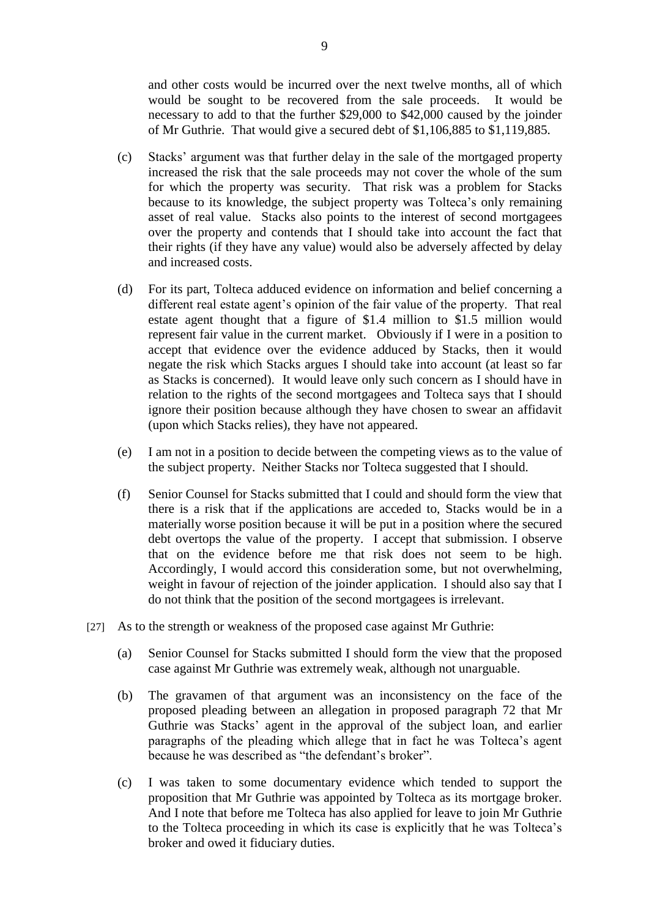and other costs would be incurred over the next twelve months, all of which would be sought to be recovered from the sale proceeds. It would be necessary to add to that the further \$29,000 to \$42,000 caused by the joinder of Mr Guthrie. That would give a secured debt of \$1,106,885 to \$1,119,885.

- (c) Stacks' argument was that further delay in the sale of the mortgaged property increased the risk that the sale proceeds may not cover the whole of the sum for which the property was security. That risk was a problem for Stacks because to its knowledge, the subject property was Tolteca's only remaining asset of real value. Stacks also points to the interest of second mortgagees over the property and contends that I should take into account the fact that their rights (if they have any value) would also be adversely affected by delay and increased costs.
- (d) For its part, Tolteca adduced evidence on information and belief concerning a different real estate agent's opinion of the fair value of the property. That real estate agent thought that a figure of \$1.4 million to \$1.5 million would represent fair value in the current market. Obviously if I were in a position to accept that evidence over the evidence adduced by Stacks, then it would negate the risk which Stacks argues I should take into account (at least so far as Stacks is concerned). It would leave only such concern as I should have in relation to the rights of the second mortgagees and Tolteca says that I should ignore their position because although they have chosen to swear an affidavit (upon which Stacks relies), they have not appeared.
- (e) I am not in a position to decide between the competing views as to the value of the subject property. Neither Stacks nor Tolteca suggested that I should.
- (f) Senior Counsel for Stacks submitted that I could and should form the view that there is a risk that if the applications are acceded to, Stacks would be in a materially worse position because it will be put in a position where the secured debt overtops the value of the property. I accept that submission. I observe that on the evidence before me that risk does not seem to be high. Accordingly, I would accord this consideration some, but not overwhelming, weight in favour of rejection of the joinder application. I should also say that I do not think that the position of the second mortgagees is irrelevant.
- [27] As to the strength or weakness of the proposed case against Mr Guthrie:
	- (a) Senior Counsel for Stacks submitted I should form the view that the proposed case against Mr Guthrie was extremely weak, although not unarguable.
	- (b) The gravamen of that argument was an inconsistency on the face of the proposed pleading between an allegation in proposed paragraph 72 that Mr Guthrie was Stacks' agent in the approval of the subject loan, and earlier paragraphs of the pleading which allege that in fact he was Tolteca's agent because he was described as "the defendant's broker".
	- (c) I was taken to some documentary evidence which tended to support the proposition that Mr Guthrie was appointed by Tolteca as its mortgage broker. And I note that before me Tolteca has also applied for leave to join Mr Guthrie to the Tolteca proceeding in which its case is explicitly that he was Tolteca's broker and owed it fiduciary duties.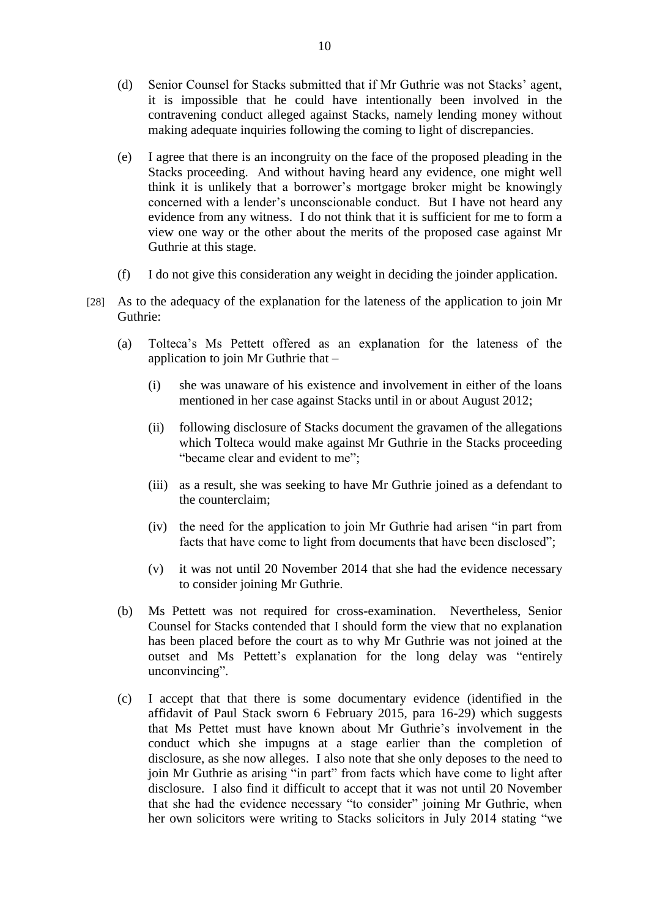- (d) Senior Counsel for Stacks submitted that if Mr Guthrie was not Stacks' agent, it is impossible that he could have intentionally been involved in the contravening conduct alleged against Stacks, namely lending money without making adequate inquiries following the coming to light of discrepancies.
- (e) I agree that there is an incongruity on the face of the proposed pleading in the Stacks proceeding. And without having heard any evidence, one might well think it is unlikely that a borrower's mortgage broker might be knowingly concerned with a lender's unconscionable conduct. But I have not heard any evidence from any witness. I do not think that it is sufficient for me to form a view one way or the other about the merits of the proposed case against Mr Guthrie at this stage.
- (f) I do not give this consideration any weight in deciding the joinder application.
- [28] As to the adequacy of the explanation for the lateness of the application to join Mr Guthrie:
	- (a) Tolteca's Ms Pettett offered as an explanation for the lateness of the application to join Mr Guthrie that –
		- (i) she was unaware of his existence and involvement in either of the loans mentioned in her case against Stacks until in or about August 2012;
		- (ii) following disclosure of Stacks document the gravamen of the allegations which Tolteca would make against Mr Guthrie in the Stacks proceeding "became clear and evident to me";
		- (iii) as a result, she was seeking to have Mr Guthrie joined as a defendant to the counterclaim;
		- (iv) the need for the application to join Mr Guthrie had arisen "in part from facts that have come to light from documents that have been disclosed";
		- (v) it was not until 20 November 2014 that she had the evidence necessary to consider joining Mr Guthrie.
	- (b) Ms Pettett was not required for cross-examination. Nevertheless, Senior Counsel for Stacks contended that I should form the view that no explanation has been placed before the court as to why Mr Guthrie was not joined at the outset and Ms Pettett's explanation for the long delay was "entirely unconvincing".
	- (c) I accept that that there is some documentary evidence (identified in the affidavit of Paul Stack sworn 6 February 2015, para 16-29) which suggests that Ms Pettet must have known about Mr Guthrie's involvement in the conduct which she impugns at a stage earlier than the completion of disclosure, as she now alleges. I also note that she only deposes to the need to join Mr Guthrie as arising "in part" from facts which have come to light after disclosure. I also find it difficult to accept that it was not until 20 November that she had the evidence necessary "to consider" joining Mr Guthrie, when her own solicitors were writing to Stacks solicitors in July 2014 stating "we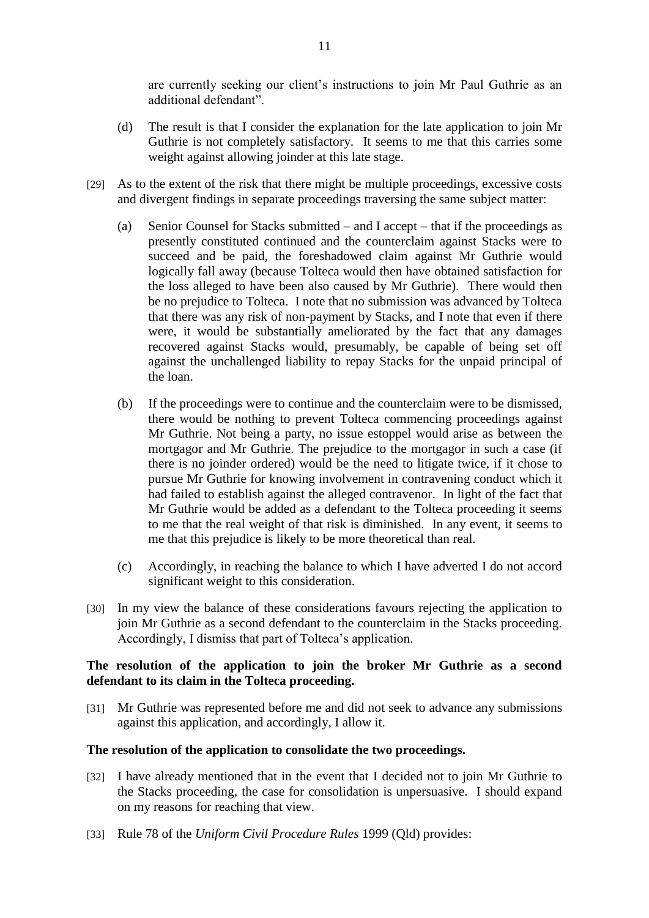are currently seeking our client's instructions to join Mr Paul Guthrie as an additional defendant".

- (d) The result is that I consider the explanation for the late application to join Mr Guthrie is not completely satisfactory. It seems to me that this carries some weight against allowing joinder at this late stage.
- [29] As to the extent of the risk that there might be multiple proceedings, excessive costs and divergent findings in separate proceedings traversing the same subject matter:
	- (a) Senior Counsel for Stacks submitted and I accept that if the proceedings as presently constituted continued and the counterclaim against Stacks were to succeed and be paid, the foreshadowed claim against Mr Guthrie would logically fall away (because Tolteca would then have obtained satisfaction for the loss alleged to have been also caused by Mr Guthrie). There would then be no prejudice to Tolteca. I note that no submission was advanced by Tolteca that there was any risk of non-payment by Stacks, and I note that even if there were, it would be substantially ameliorated by the fact that any damages recovered against Stacks would, presumably, be capable of being set off against the unchallenged liability to repay Stacks for the unpaid principal of the loan.
	- (b) If the proceedings were to continue and the counterclaim were to be dismissed, there would be nothing to prevent Tolteca commencing proceedings against Mr Guthrie. Not being a party, no issue estoppel would arise as between the mortgagor and Mr Guthrie. The prejudice to the mortgagor in such a case (if there is no joinder ordered) would be the need to litigate twice, if it chose to pursue Mr Guthrie for knowing involvement in contravening conduct which it had failed to establish against the alleged contravenor. In light of the fact that Mr Guthrie would be added as a defendant to the Tolteca proceeding it seems to me that the real weight of that risk is diminished. In any event, it seems to me that this prejudice is likely to be more theoretical than real.
	- (c) Accordingly, in reaching the balance to which I have adverted I do not accord significant weight to this consideration.
- [30] In my view the balance of these considerations favours rejecting the application to join Mr Guthrie as a second defendant to the counterclaim in the Stacks proceeding. Accordingly, I dismiss that part of Tolteca's application.

## **The resolution of the application to join the broker Mr Guthrie as a second defendant to its claim in the Tolteca proceeding.**

[31] Mr Guthrie was represented before me and did not seek to advance any submissions against this application, and accordingly, I allow it.

## **The resolution of the application to consolidate the two proceedings.**

- [32] I have already mentioned that in the event that I decided not to join Mr Guthrie to the Stacks proceeding, the case for consolidation is unpersuasive. I should expand on my reasons for reaching that view.
- [33] Rule 78 of the *Uniform Civil Procedure Rules* 1999 (Qld) provides: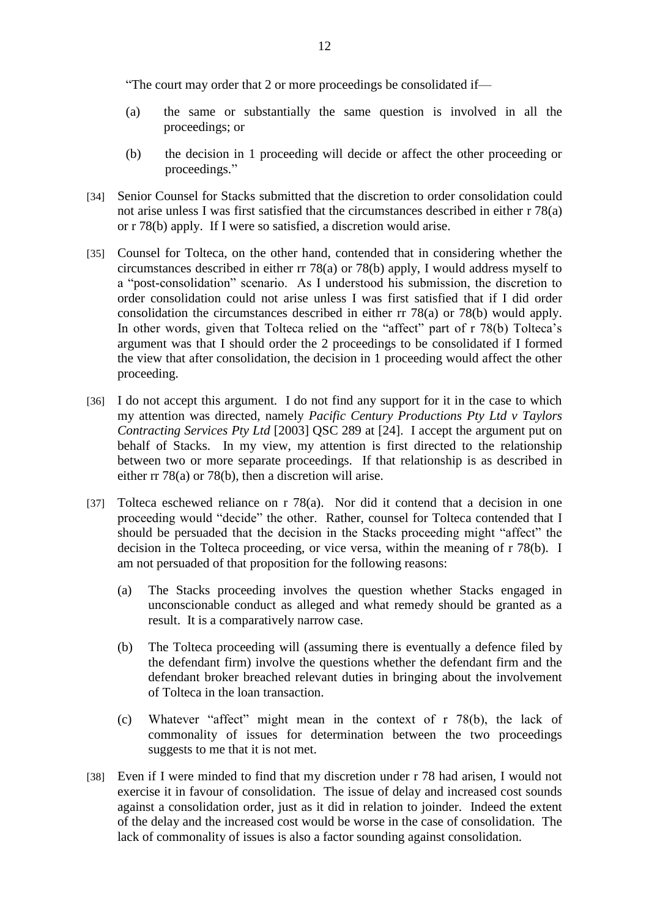"The court may order that 2 or more proceedings be consolidated if—

- (a) the same or substantially the same question is involved in all the proceedings; or
- (b) the decision in 1 proceeding will decide or affect the other proceeding or proceedings."
- [34] Senior Counsel for Stacks submitted that the discretion to order consolidation could not arise unless I was first satisfied that the circumstances described in either r 78(a) or r 78(b) apply. If I were so satisfied, a discretion would arise.
- [35] Counsel for Tolteca, on the other hand, contended that in considering whether the circumstances described in either rr 78(a) or 78(b) apply, I would address myself to a "post-consolidation" scenario. As I understood his submission, the discretion to order consolidation could not arise unless I was first satisfied that if I did order consolidation the circumstances described in either rr 78(a) or 78(b) would apply. In other words, given that Tolteca relied on the "affect" part of r 78(b) Tolteca's argument was that I should order the 2 proceedings to be consolidated if I formed the view that after consolidation, the decision in 1 proceeding would affect the other proceeding.
- [36] I do not accept this argument. I do not find any support for it in the case to which my attention was directed, namely *Pacific Century Productions Pty Ltd v Taylors Contracting Services Pty Ltd* [2003] QSC 289 at [24]. I accept the argument put on behalf of Stacks. In my view, my attention is first directed to the relationship between two or more separate proceedings. If that relationship is as described in either rr 78(a) or 78(b), then a discretion will arise.
- [37] Tolteca eschewed reliance on r 78(a). Nor did it contend that a decision in one proceeding would "decide" the other. Rather, counsel for Tolteca contended that I should be persuaded that the decision in the Stacks proceeding might "affect" the decision in the Tolteca proceeding, or vice versa, within the meaning of r 78(b). I am not persuaded of that proposition for the following reasons:
	- (a) The Stacks proceeding involves the question whether Stacks engaged in unconscionable conduct as alleged and what remedy should be granted as a result. It is a comparatively narrow case.
	- (b) The Tolteca proceeding will (assuming there is eventually a defence filed by the defendant firm) involve the questions whether the defendant firm and the defendant broker breached relevant duties in bringing about the involvement of Tolteca in the loan transaction.
	- (c) Whatever "affect" might mean in the context of r 78(b), the lack of commonality of issues for determination between the two proceedings suggests to me that it is not met.
- [38] Even if I were minded to find that my discretion under r 78 had arisen, I would not exercise it in favour of consolidation. The issue of delay and increased cost sounds against a consolidation order, just as it did in relation to joinder. Indeed the extent of the delay and the increased cost would be worse in the case of consolidation. The lack of commonality of issues is also a factor sounding against consolidation.